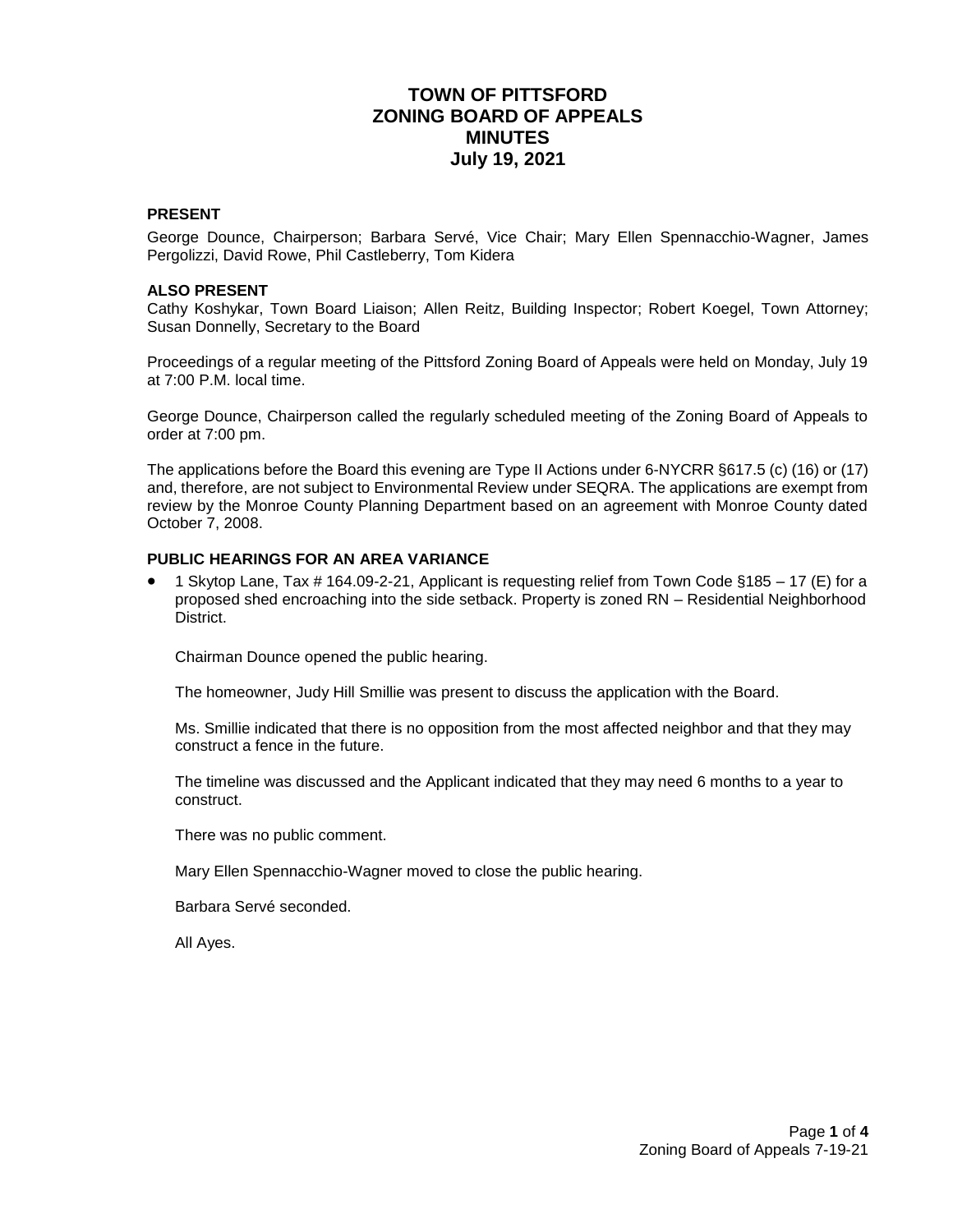# **TOWN OF PITTSFORD ZONING BOARD OF APPEALS MINUTES July 19, 2021**

### **PRESENT**

George Dounce, Chairperson; Barbara Servé, Vice Chair; Mary Ellen Spennacchio-Wagner, James Pergolizzi, David Rowe, Phil Castleberry, Tom Kidera

#### **ALSO PRESENT**

Cathy Koshykar, Town Board Liaison; Allen Reitz, Building Inspector; Robert Koegel, Town Attorney; Susan Donnelly, Secretary to the Board

Proceedings of a regular meeting of the Pittsford Zoning Board of Appeals were held on Monday, July 19 at 7:00 P.M. local time.

George Dounce, Chairperson called the regularly scheduled meeting of the Zoning Board of Appeals to order at 7:00 pm.

The applications before the Board this evening are Type II Actions under 6-NYCRR §617.5 (c) (16) or (17) and, therefore, are not subject to Environmental Review under SEQRA. The applications are exempt from review by the Monroe County Planning Department based on an agreement with Monroe County dated October 7, 2008.

### **PUBLIC HEARINGS FOR AN AREA VARIANCE**

 1 Skytop Lane, Tax # 164.09-2-21, Applicant is requesting relief from Town Code §185 – 17 (E) for a proposed shed encroaching into the side setback. Property is zoned RN – Residential Neighborhood District.

Chairman Dounce opened the public hearing.

The homeowner, Judy Hill Smillie was present to discuss the application with the Board.

Ms. Smillie indicated that there is no opposition from the most affected neighbor and that they may construct a fence in the future.

The timeline was discussed and the Applicant indicated that they may need 6 months to a year to construct.

There was no public comment.

Mary Ellen Spennacchio-Wagner moved to close the public hearing.

Barbara Servé seconded.

All Ayes.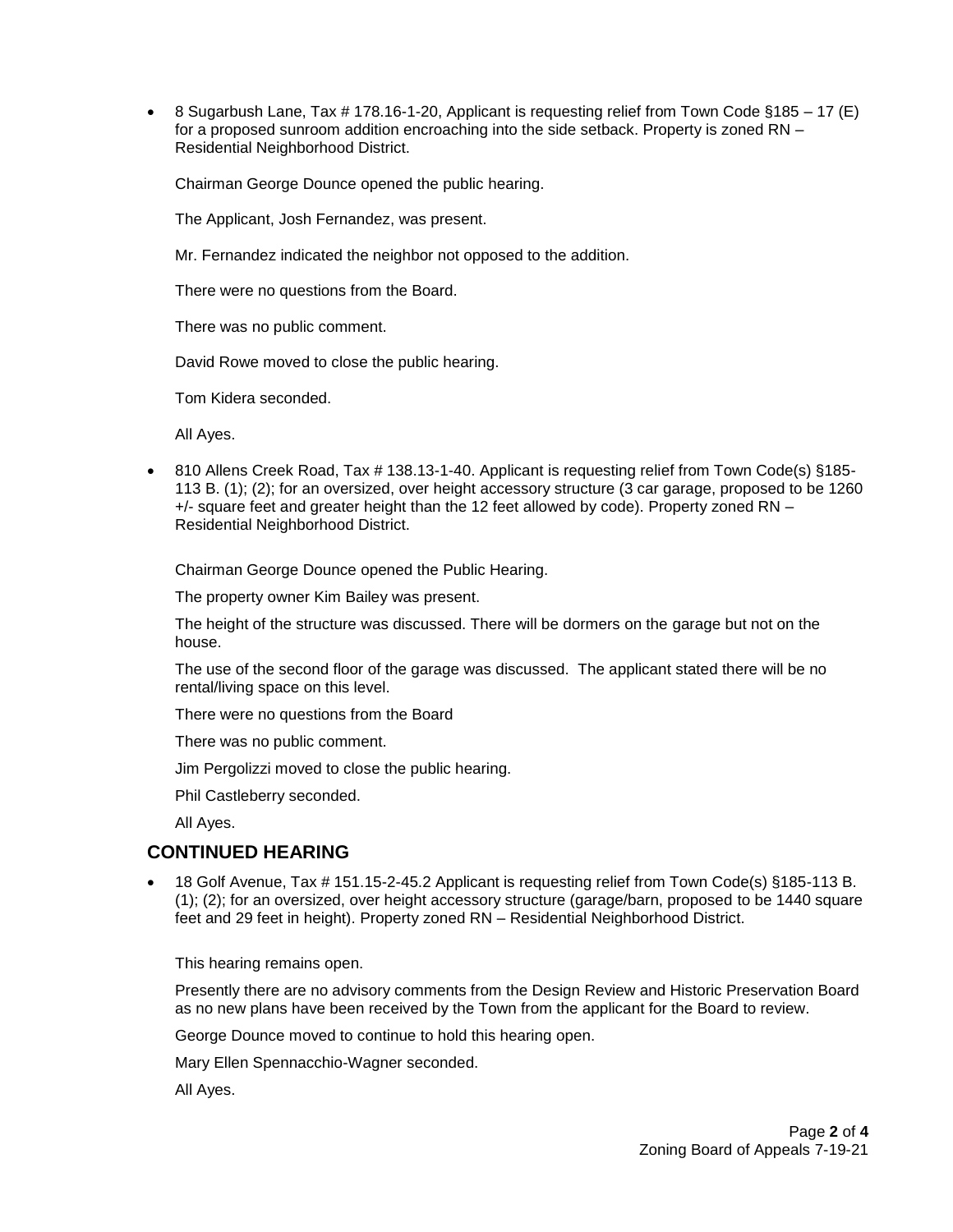8 Sugarbush Lane, Tax # 178.16-1-20, Applicant is requesting relief from Town Code §185 – 17 (E) for a proposed sunroom addition encroaching into the side setback. Property is zoned RN – Residential Neighborhood District.

Chairman George Dounce opened the public hearing.

The Applicant, Josh Fernandez, was present.

Mr. Fernandez indicated the neighbor not opposed to the addition.

There were no questions from the Board.

There was no public comment.

David Rowe moved to close the public hearing.

Tom Kidera seconded.

All Ayes.

 810 Allens Creek Road, Tax # 138.13-1-40. Applicant is requesting relief from Town Code(s) §185- 113 B. (1); (2); for an oversized, over height accessory structure (3 car garage, proposed to be 1260 +/- square feet and greater height than the 12 feet allowed by code). Property zoned RN – Residential Neighborhood District.

Chairman George Dounce opened the Public Hearing.

The property owner Kim Bailey was present.

The height of the structure was discussed. There will be dormers on the garage but not on the house.

The use of the second floor of the garage was discussed. The applicant stated there will be no rental/living space on this level.

There were no questions from the Board

There was no public comment.

Jim Pergolizzi moved to close the public hearing.

Phil Castleberry seconded.

All Ayes.

# **CONTINUED HEARING**

 18 Golf Avenue, Tax # 151.15-2-45.2 Applicant is requesting relief from Town Code(s) §185-113 B. (1); (2); for an oversized, over height accessory structure (garage/barn, proposed to be 1440 square feet and 29 feet in height). Property zoned RN – Residential Neighborhood District.

This hearing remains open.

Presently there are no advisory comments from the Design Review and Historic Preservation Board as no new plans have been received by the Town from the applicant for the Board to review.

George Dounce moved to continue to hold this hearing open.

Mary Ellen Spennacchio-Wagner seconded.

All Ayes.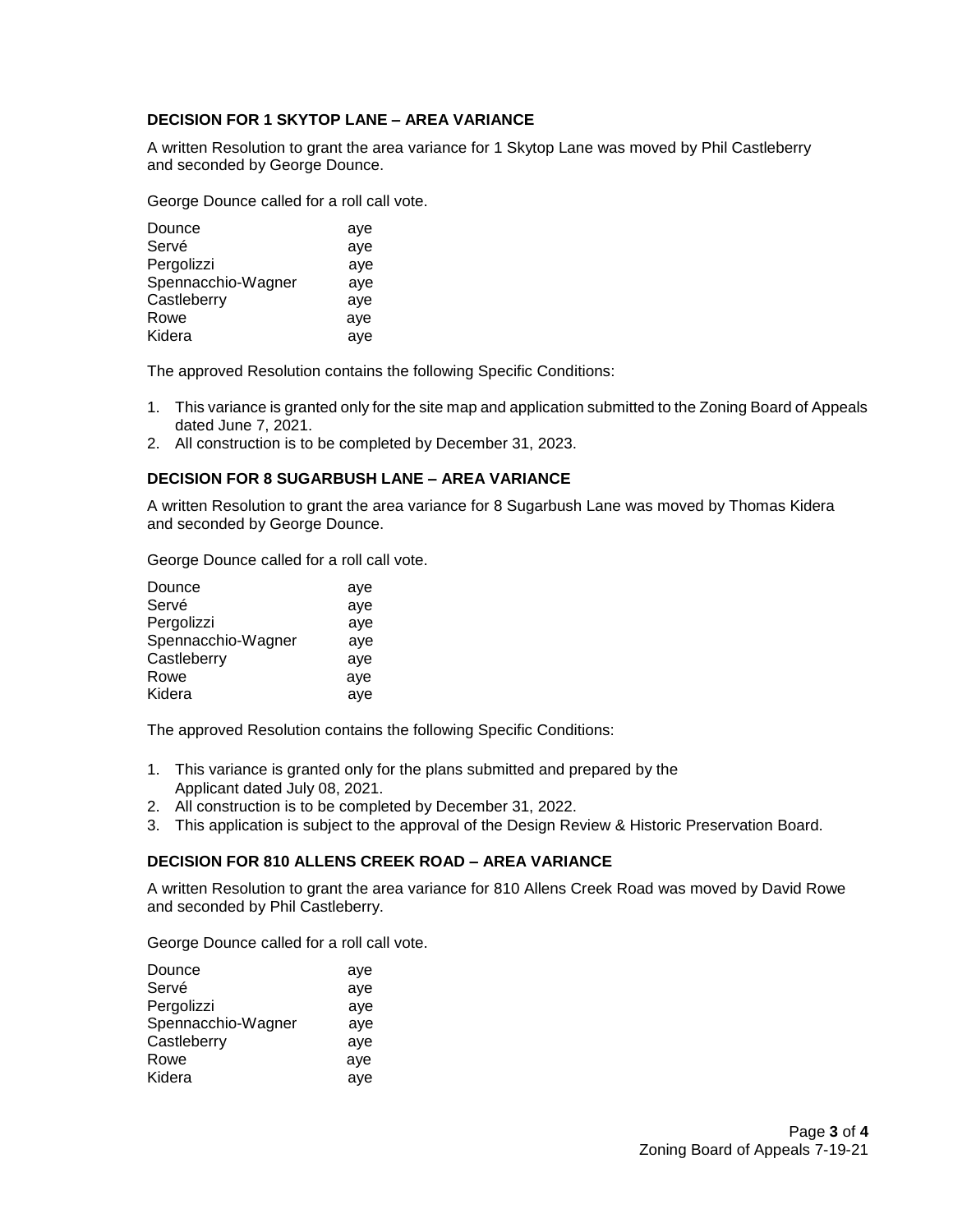### **DECISION FOR 1 SKYTOP LANE – AREA VARIANCE**

A written Resolution to grant the area variance for 1 Skytop Lane was moved by Phil Castleberry and seconded by George Dounce.

George Dounce called for a roll call vote.

| Dounce             | aye |
|--------------------|-----|
| Servé              | aye |
| Pergolizzi         | aye |
| Spennacchio-Wagner | aye |
| Castleberry        | aye |
| Rowe               | aye |
| Kidera             | ave |
|                    |     |

The approved Resolution contains the following Specific Conditions:

- 1. This variance is granted only for the site map and application submitted to the Zoning Board of Appeals dated June 7, 2021.
- 2. All construction is to be completed by December 31, 2023.

### **DECISION FOR 8 SUGARBUSH LANE – AREA VARIANCE**

A written Resolution to grant the area variance for 8 Sugarbush Lane was moved by Thomas Kidera and seconded by George Dounce.

George Dounce called for a roll call vote.

| Dounce             | aye |
|--------------------|-----|
| Servé              | aye |
| Pergolizzi         | aye |
| Spennacchio-Wagner | aye |
| Castleberry        | aye |
| Rowe               | aye |
| Kidera             | aye |

The approved Resolution contains the following Specific Conditions:

- 1. This variance is granted only for the plans submitted and prepared by the Applicant dated July 08, 2021.
- 2. All construction is to be completed by December 31, 2022.
- 3. This application is subject to the approval of the Design Review & Historic Preservation Board.

### **DECISION FOR 810 ALLENS CREEK ROAD – AREA VARIANCE**

A written Resolution to grant the area variance for 810 Allens Creek Road was moved by David Rowe and seconded by Phil Castleberry.

George Dounce called for a roll call vote.

| aye |
|-----|
| aye |
| aye |
| aye |
| aye |
| ave |
| aye |
|     |